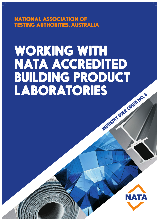NATIONAL ASSOCIATION OF TESTING AUTHORITIES, AUSTRALIA

# WORKING WITH NATA ACCREDITED **BUILDING PRODUCT<br>LABORATORIES** INDUSTRY USER GUIDE NO. 4

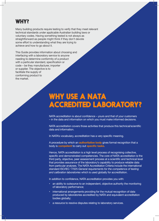# WHY?

Many building products require testing to verify that they meet relevant technical standards under applicable Australian building laws or voluntary codes. Having something tested is not always as straightforward as people might think if they don't devote some effort to understanding what they are trying to achieve and how to go about it.

This Guide provides information about choosing and interfacing with a laboratory service to anyone needing to determine conformity of a product with a particular standard, specification or code – be they manufacturer, importer or supplier. The objective is to facilitate the supply of conforming product to the market.

# WHY USE A NATA ACCREDITED LABORATORY?

NATA accreditation is about confidence – yours and that of your customers – in the data and information on which you must make informed decisions.

NATA accreditation covers those activities that produce this technical/scientific data and information.

In NATA's vocabulary, accreditation has a very specific meaning.

A procedure by which an **authoritative body** gives formal recognition that a body is **competent** to carry out **specific tasks**.

Hence, NATA accreditation is a high level process of recognising collective, specific and demonstrated competencies. The core of NATA accreditation is the third party, objective, peer assessment process at a scientific and technical level that provides assurance of the laboratory's capability to produce reliable data from particular analyses. The NATA Accreditation Criteria include the international standard ISO/IEC 17025 *General requirements for the competence of testing and calibration laboratories* which is used globally for accreditation.

In addition to confidence, NATA accreditation provides you with:

- an ability to outsource to an independent, objective authority the monitoring of laboratory performance;
- international arrangements providing for the mutual recognition of data produced by laboratories accredited by NATA and equivalent accreditation bodies globally;
- a resource to resolve disputes relating to laboratory services.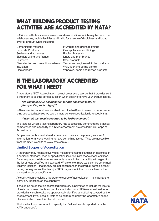# WHAT BUILDING PRODUCT TESTING ACTIVITIES ARE ACCREDITED BY NATA?

NATA accredits tests, measurements and examinations which may be performed in laboratories, mobile facilities and in situ for a range of disciplines and broad array of product types including:

Cementitious materials Concrete Products Sealants and adhesives Electrical wiring and fittings **Fasteners** Fire detection and protection systems<br>Insulation Insulation Wall, floor and ceiling panels Plaster board

| Plumbing and drainage fittings        |
|---------------------------------------|
| Gas appliances and fittings           |
| <b>Roofing Materials</b>              |
| Liners and membranes                  |
| Steel products                        |
| Timber and engineered timber products |
| Wall, floor and ceiling panels        |
| Windows, doors and related products   |

# IS THE LABORATORY ACCREDITED FOR WHAT I NEED?

A laboratory's NATA Accreditation may not cover every service that it provides so it is important to ask the correct question when seeking to have your product tested.

#### *"Do you hold NATA accreditation for [the specified tests] of [the specific product type]?"*

NATA accredited laboratories are able to add the NATA endorsement to reports covering accredited activities. As such, a more concise specification is to specify that

#### *"I want all test results reported to be NATA endorsed".*

The tests for which a testing laboratory has successfully demonstrated practical competence and capability at a NATA assessment are detailed in its Scope of **Accreditation** 

Scopes are publicly available documents so they are the primary source of information for anyone wanting to have something tested. They are accessible from the NATA website at www.nata.com.au.

#### **Limited Scopes of Accreditation**

A laboratory may not have every test, measurement and examination described in a particular standard, code or specification included in its scope of accreditation. For example, some laboratories may only have a limited capability with regard to the list of tests specified in a standard. Where one or more tests can be performed validly in isolation – that is, they are not contingent on the product sample already having undergone another test(s) – NATA may accredit them for a subset of the standard, code or specification.

As such, when checking a laboratory's scope of accreditation, it is important to clarify any limitation on the capability.

It should be noted that an accredited laboratory is permitted to include the results of tests not covered by its scope of accreditation on a NATA-endorsed test report provided any such results are appropriately identified as not being covered by the endorsement. If you need all tests to be performed under the laboratory's scope of accreditation make this clear at the start.

That is why it is so important to specify that "all test results reported must be NATA-endorsed".

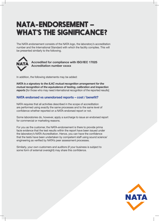# NATA-ENDORSEMENT – WHAT'S THE SIGNIFICANCE?

The NATA endorsement consists of the NATA logo, the laboratory's accreditation number and the International Standard with which the facility complies. This will be presented similarly to the following.



**Accredited for compliance with ISO/IEC 17025 Accreditation number xxxxx**

In addition, the following statements may be added:

*NATA is a signatory to the ILAC mutual recognition arrangement for the mutual recognition of the equivalence of testing, calibration and inspection*  **reports** [for those who may need international recognition of the reported results]

#### **NATA endorsed vs unendorsed reports – cost / benefit?**

NATA requires that all activities described in the scope of accreditation are performed using exactly the same processes and to the same level of confidence whether reported on a NATA-endorsed report or not.

Some laboratories do, however, apply a surcharge to issue an endorsed report for commercial or marketing reasons.

For you as the customer, the NATA-endorsement is there to provide prima facie evidence that the test results within the report have been issued under the laboratory's NATA Accreditation. Hence, you can have the confidence that the tests have been undertaken by competent staff using sound science/ engineering as verified by NATA's peer assessment processes.

Similarly, your own customers and auditors (if your business is subject to some form of external oversight) may share this confidence.

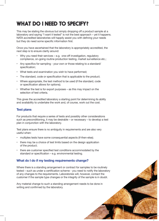# WHAT DO I NEED TO SPECIFY?

This may be stating the obvious but simply dropping off a product sample at a laboratory and saying "I want it tested" is not the best approach – yet it happens. NATA accredited laboratories will happily assist you with defining your needs but they do need some specific information first.

Once you have ascertained that the laboratory is appropriately accredited, the next step is to ensure clarity around:

- Why you need their services e.g. one-off investigation, regulatory compliance, on-going routine production testing, market surveillance etc.;
- Any specifics for sampling your own or those relating to a standard/ specification;
- What tests and examination you wish to have performed;
- The standard, code or specification that is applicable to the product;
- Where appropriate, the test method to be used (if the standard, code or specification allows for options);
- Whether the test is for export purposes as this may impact on the selection of test criteria.

This gives the accredited laboratory a starting point for determining its ability and availability to undertake the work and, of course, work out the cost.

#### **Test plans**

For products that require a series of tests and possibly other considerations such as preconditioning, it may be desirable – or necessary – to develop a test plan in conjunction with the laboratory.

Test plans ensure there is no ambiguity in requirements and are also very useful when:

- multiples tests have some consequential aspects (if-then-else);
- there may be a choice of test limits based on the design application of the product;
- there are customer specified test conditions accommodated by the standard or specification – e.g. environmental testing.

#### **What do I do if my testing requirements change?**

Where there is a standing arrangement or contract for samples to be routinely tested – such as under a certification scheme - you need to notify the laboratory of any changes to the requirements. Laboratories will, however, contact the customer if the sample type changes or the integrity of the sample is in doubt.

Any material change to such a standing arrangement needs to be done in writing and confirmed by the laboratory.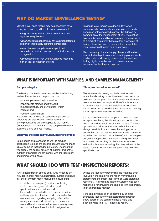## WHY DO MARKET SURVEILLANCE TESTING?

Market surveillance testing may be undertaken for a variety of reasons by different players in a market.

- A regulator may wish to check compliance with a regulatory requirement.
- A manufacturer/supplier may have a product tested as part of their quality assurance processes.
- A manufacturer/supplier may suspect their competitor's product is non-compliant with a code or regulation.
- A product certifier may use surveillance testing as part of their certification system.

Testing is rarely inexpensive (particularly when done properly) so surveillance testing is not usually performed without a good reason - be it driven by competition or the management of risk. The cost can, however, be managed by focussing on those aspects of a product or material that are either suspected of being deficient and/or the aspects that present the most risk should they be non-conforming.

The complexity of some supply chains and the risks associated with putting non-conforming product on the market make undertaking some level of surveillance testing highly desirable and, in many cases, an investment rather than an expense.

### WHAT IS IMPORTANT WITH SAMPLES, AND SAMPLES MANAGEMENT?

#### **Sample integrity**

The best quality testing service available is effectively useless if samples are compromised by:

- poor sample selection/preparation;
- inappropriate storage and transport (e.g. temperature, shock, vibration, water ingress); and
- incorrect identification.

It is stating the obvious but samples supplied to a laboratory are supposed to be representative of the product that will be supplied to the market. Compromising the integrity of the samples will waste everyone's time and your money.

#### **Supplying the correct amount/number of samples**

Some codes and standards as well as product certification regimes are specific about the number and size of samples that need to be tested. Ensuring that you supply the correct amount of material and/or the number of samples will save angst with the laboratory and minimise your costs.

#### **"Samples tested as received"**

This statement is usually applied to test reports when the laboratory has not been responsible for the collection of samples. Use of this statement does not, however, remove the responsibility of the laboratory to test samples that are in a satisfactory condition. Laboratories are required to have procedures covering the acceptance of samples for testing.

If a laboratory receives a sample that does not meet acceptance criteria, the laboratory must contact the customer and ascertain what action to take. The best option is to provide another sample but this is not always possible. In such cases the testing may be undertaken but the test report must include comments regarding the nature of the problem(s) with the samples and, where applicable, that caution is required when interpreting the result(s). Such caveats may have serious implications regarding the intended use of the report, such as for demonstrating compliance with a specified code.

## WHAT SHOULD I DO WITH TEST / INSPECTION REPORTS?

NATA's accreditation criteria detail what needs to be included in a test report. Nonetheless, customers should still check any test report received to ensure that:

- it matches the sample(s) provided for testing;
- it references the agreed standard, code, specification and/or test method;
- the results are reported in the manner prescribed by the applicable standard, code or specification;
- any statement regarding sampling reflects the arrangements as understood by the customer;
- any additional information that you have requested such as photographs of the test configuration.

Unless the laboratory performing the tests has been involved in the sampling, the report may include a statement to the effect that "samples were tested as received". This indicates that the customer has been responsible for providing the samples to the laboratory in an appropriate manner.

If the sampling has been performed by another accredited laboratory or an accredited inspection body, details of the sampling should have also been provided in a NATA-endorsed report.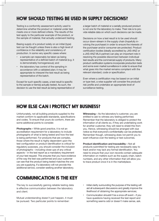# HOW SHOULD TESTING BE USED IN SUPPLY DECISIONS?

Testing is a conformity assessment activity used to determine whether the product or material under test meets one or more defined criteria. The results of the test apply to the particular example of the product, or the sample of material, that actually underwent testing.

Basing supply of a product solely on an initial (type) test can be fraught unless there is also a high level of confidence in the reliability and consistency of production. In some very specific cases where:

- a sample can reasonably be taken as being representative of a defined batch of material (e.g. it is demonstrably homogeneous); and
- the laboratory has control of the sampling in accordance with a validated plan; it may be appropriate to interpret the test result as being representative of the batch.

Except for such specific cases, a test result is specific to the sample or item(s) actually tested. As such, the decision to use the test result as being representative of a larger batch of material or a serially produced product is not one for the laboratory to make. Their role is to provide reliable data on which such decisions can be made.

Decisions on how a test result is to be used should occur down-stream in the supply chain (hopefully involving the purchaser) in order to ensure the interests of the purchaser and/or consumer are protected. Product certification bodies (ideally accredited by JAS-ANZ or a JAS-ANZ MLA partner) can play an important role in resolving the possible disconnect between individual test results and the commercial supply of products. Many product certification systems incorporate production tests and some even market surveillance in order to ensure that what goes into the market remains compliant with the relevant standard, code or specification.

Even where a certification may be based on an initial or type test, a wise supplier will consider the products' risk profile and undertake an appropriate level of surveillance testing.

## HOW ELSE CAN I PROTECT MY BUSINESS?

Unfortunately, not all building products supplied to the market conform to applicable standards, specifications and codes. To ensure that yours do conform, there are some additional points to consider.

**Photographs –** While good practice, it is not an accreditation requirement for a laboratory to include photographs of what is being tested and how the test is being performed. For products that are complex, those where the result is highly dependent upon the test configuration or product identification is critical for regulatory purposes, you should consider the inclusion of photographs – including close-ups of any critical aspects – in the test report as a mandatory requirement of your test request. This ensures that you have evidence of the way the test was performed and your customer can see that the product being tested matches the one you are supplying. If a laboratory will not provide this additional service, consider seeking another laboratory.

COMMUNICATION IS THE KEY

The key to successfully gaining reliable testing data is effective communication between the laboratory and client.

Mutual understanding doesn't just happen, it must be pursued. Two particular points to remember:

**Witnessing –** As the laboratory's customer, you are entitled to ask to witness any testing performed. Remember that the laboratory is obliged to protect the information of all clients so, if they are undertaking work for another customer, they will need to shield this from you. Hence, witnessing should be arranged with due notice so that everyone's confidentiality can be protected. Remember though, witnessing does not permit you to exert influence over the testing or test outcomes.

**Product identification and traceability –** Not all products submitted for testing are necessarily easy to track and/or may lack any formal identification. You need to ensure that your own records contain adequate information on matters such as the supply chain, batch numbers, and any other information that will allow you to trace product once it is in the marketplace.

- Initial clarity surrounding the purpose of the testing will aid all subsequent discussions and greatly improve the likelihood of obtaining the appropriate services;
- Communication shouldn't be a once-off event if you have questions having received the test report and something seems odd or doesn't make sense, ask.